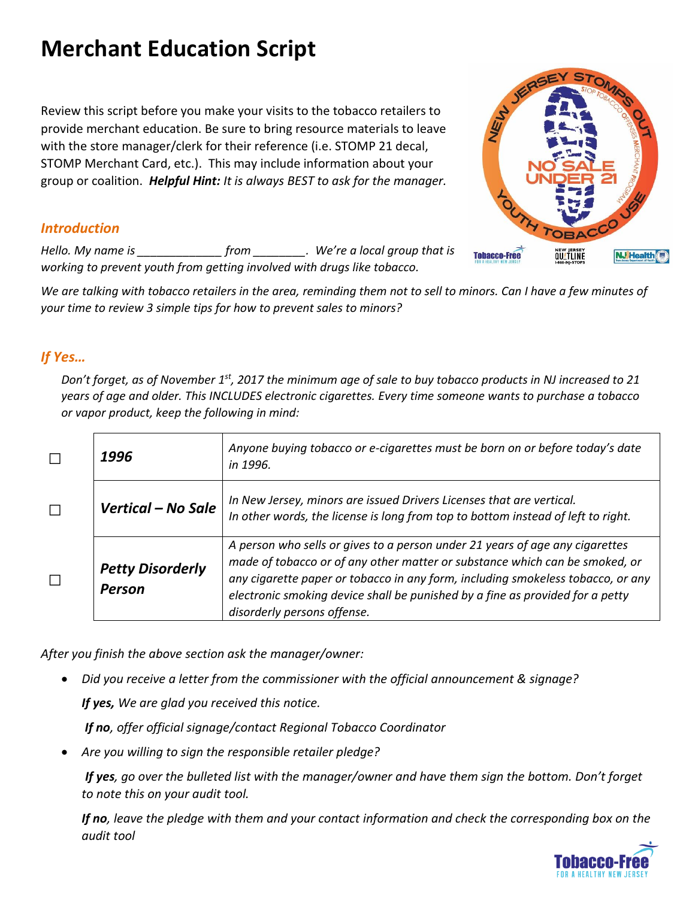# **Merchant Education Script**

Review this script before you make your visits to the tobacco retailers to provide merchant education. Be sure to bring resource materials to leave with the store manager/clerk for their reference (i.e. STOMP 21 decal, STOMP Merchant Card, etc.). This may include information about your group or coalition. *Helpful Hint: It is always BEST to ask for the manager.* 

### *Introduction*

*Hello. My name is \_\_\_\_\_\_\_\_\_\_\_\_\_ from \_\_\_\_\_\_\_\_. We're a local group that is working to prevent youth from getting involved with drugs like tobacco.* 

*We are talking with tobacco retailers in the area, reminding them not to sell to minors. Can I have a few minutes of your time to review 3 simple tips for how to prevent sales to minors?*

### *If Yes…*

*Don't forget, as of November 1st, 2017 the minimum age of sale to buy tobacco products in NJ increased to 21 years of age and older. This INCLUDES electronic cigarettes. Every time someone wants to purchase a tobacco or vapor product, keep the following in mind:*

| 1996                                     | Anyone buying tobacco or e-cigarettes must be born on or before today's date<br>in 1996.                                                                                                                                                                                                                                                                       |
|------------------------------------------|----------------------------------------------------------------------------------------------------------------------------------------------------------------------------------------------------------------------------------------------------------------------------------------------------------------------------------------------------------------|
| Vertical – No Sale                       | In New Jersey, minors are issued Drivers Licenses that are vertical.<br>In other words, the license is long from top to bottom instead of left to right.                                                                                                                                                                                                       |
| <b>Petty Disorderly</b><br><b>Person</b> | A person who sells or gives to a person under 21 years of age any cigarettes<br>made of tobacco or of any other matter or substance which can be smoked, or<br>any cigarette paper or tobacco in any form, including smokeless tobacco, or any<br>electronic smoking device shall be punished by a fine as provided for a petty<br>disorderly persons offense. |

*After you finish the above section ask the manager/owner:*

*Did you receive a letter from the commissioner with the official announcement & signage?* 

*If yes, We are glad you received this notice.* 

*If no, offer official signage/contact Regional Tobacco Coordinator* 

*Are you willing to sign the responsible retailer pledge?*

*If yes, go over the bulleted list with the manager/owner and have them sign the bottom. Don't forget to note this on your audit tool.* 

*If no, leave the pledge with them and your contact information and check the corresponding box on the audit tool*